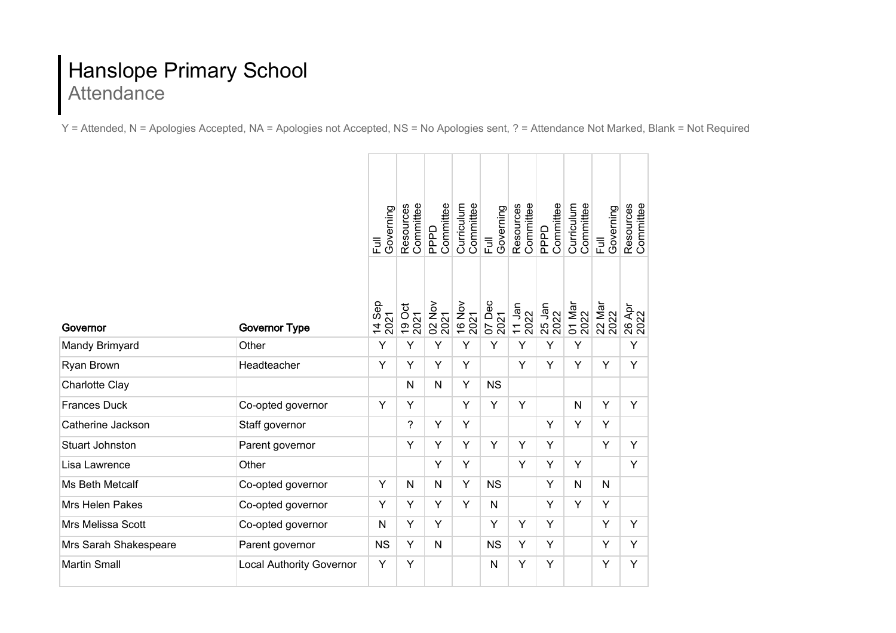## Hanslope Primary School **Attendance**

Y = Attended, N = Apologies Accepted, NA = Apologies not Accepted, NS = No Apologies sent, ? = Attendance Not Marked, Blank = Not Required

|                          |                                 | Governing<br>$\overline{5}$ | Committee<br>Resources | Committee<br>PPPD | Committee<br>Curriculum | Governing<br>$\overline{E}$ | Committee<br>Resources        | Committee<br>PPPD | Committee<br>Curriculum | Governing<br>$\overline{E}$ | Resources<br>Committee |
|--------------------------|---------------------------------|-----------------------------|------------------------|-------------------|-------------------------|-----------------------------|-------------------------------|-------------------|-------------------------|-----------------------------|------------------------|
| Governor                 | <b>Governor Type</b>            | 14 Sep<br>2021              | 19 Oct<br>2021         | 02 Nov<br>2021    | 16 Nov                  | 07 Dec<br>2021              | $\frac{11 \text{ Jan}}{2022}$ | 25 Jan<br>2022    | 01 Mar<br>2022          | 22 Mar<br>2022              | 26 Apr<br>2022         |
| Mandy Brimyard           | Other                           | Y                           | Y                      | Y                 | Y                       | Y                           | Y                             | Y                 | Y                       |                             | Y                      |
| Ryan Brown               | Headteacher                     | Y                           | Y                      | Y                 | Y                       |                             | Y                             | Y                 | Y                       | Y                           | Y                      |
| Charlotte Clay           |                                 |                             | N                      | N                 | Y                       | <b>NS</b>                   |                               |                   |                         |                             |                        |
| <b>Frances Duck</b>      | Co-opted governor               | Y                           | Y                      |                   | Y                       | Y                           | Y                             |                   | N                       | Y                           | Y                      |
| Catherine Jackson        | Staff governor                  |                             | $\overline{?}$         | Y                 | Y                       |                             |                               | Y                 | Y                       | Y                           |                        |
| <b>Stuart Johnston</b>   | Parent governor                 |                             | Y                      | Y                 | Y                       | Y                           | Υ                             | Y                 |                         | Y                           | Y                      |
| Lisa Lawrence            | Other                           |                             |                        | Y                 | Y                       |                             | Y                             | Y                 | Y                       |                             | Y                      |
| Ms Beth Metcalf          | Co-opted governor               | Υ                           | N                      | N                 | Y                       | <b>NS</b>                   |                               | Y                 | N                       | N                           |                        |
| Mrs Helen Pakes          | Co-opted governor               | Y                           | Y                      | Y                 | Y                       | N                           |                               | Y                 | Y                       | Y                           |                        |
| <b>Mrs Melissa Scott</b> | Co-opted governor               | N                           | Y                      | Y                 |                         | Y                           | Y                             | Y                 |                         | Y                           | Y                      |
| Mrs Sarah Shakespeare    | Parent governor                 | <b>NS</b>                   | Υ                      | $\mathsf{N}$      |                         | <b>NS</b>                   | Υ                             | Y                 |                         | Y                           | Y                      |
| <b>Martin Small</b>      | <b>Local Authority Governor</b> | Υ                           | Υ                      |                   |                         | N                           | Υ                             | Y                 |                         | Y                           | Y                      |